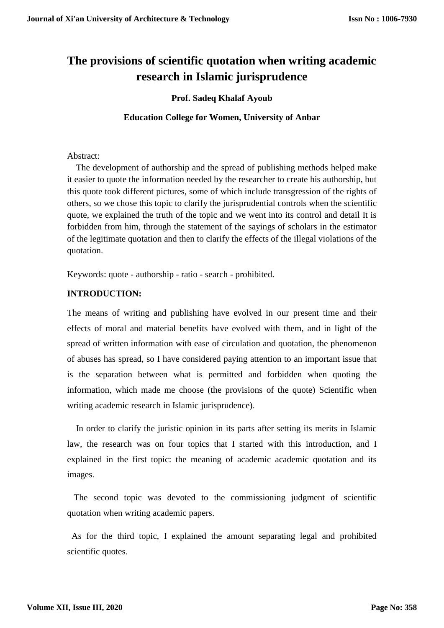# **The provisions of scientific quotation when writing academic research in Islamic jurisprudence**

# **Prof. Sadeq Khalaf Ayoub**

# **Education College for Women, University of Anbar**

# Abstract:

 The development of authorship and the spread of publishing methods helped make it easier to quote the information needed by the researcher to create his authorship, but this quote took different pictures, some of which include transgression of the rights of others, so we chose this topic to clarify the jurisprudential controls when the scientific quote, we explained the truth of the topic and we went into its control and detail It is forbidden from him, through the statement of the sayings of scholars in the estimator of the legitimate quotation and then to clarify the effects of the illegal violations of the quotation.

Keywords: quote - authorship - ratio - search - prohibited.

# **INTRODUCTION:**

The means of writing and publishing have evolved in our present time and their effects of moral and material benefits have evolved with them, and in light of the spread of written information with ease of circulation and quotation, the phenomenon of abuses has spread, so I have considered paying attention to an important issue that is the separation between what is permitted and forbidden when quoting the information, which made me choose (the provisions of the quote) Scientific when writing academic research in Islamic jurisprudence).

In order to clarify the juristic opinion in its parts after setting its merits in Islamic law, the research was on four topics that I started with this introduction, and I explained in the first topic: the meaning of academic academic quotation and its images.

The second topic was devoted to the commissioning judgment of scientific quotation when writing academic papers.

As for the third topic, I explained the amount separating legal and prohibited scientific quotes.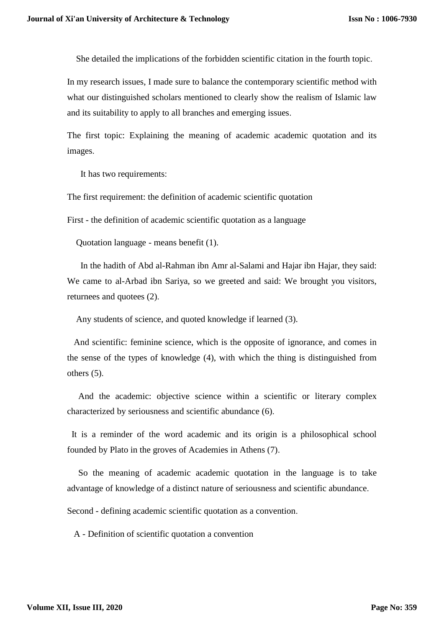She detailed the implications of the forbidden scientific citation in the fourth topic.

In my research issues, I made sure to balance the contemporary scientific method with what our distinguished scholars mentioned to clearly show the realism of Islamic law and its suitability to apply to all branches and emerging issues.

The first topic: Explaining the meaning of academic academic quotation and its images.

It has two requirements:

The first requirement: the definition of academic scientific quotation

First - the definition of academic scientific quotation as a language

Quotation language - means benefit (1).

In the hadith of Abd al-Rahman ibn Amr al-Salami and Hajar ibn Hajar, they said: We came to al-Arbad ibn Sariya, so we greeted and said: We brought you visitors, returnees and quotees (2).

Any students of science, and quoted knowledge if learned (3).

And scientific: feminine science, which is the opposite of ignorance, and comes in the sense of the types of knowledge (4), with which the thing is distinguished from others (5).

And the academic: objective science within a scientific or literary complex characterized by seriousness and scientific abundance (6).

It is a reminder of the word academic and its origin is a philosophical school founded by Plato in the groves of Academies in Athens (7).

So the meaning of academic academic quotation in the language is to take advantage of knowledge of a distinct nature of seriousness and scientific abundance.

Second - defining academic scientific quotation as a convention.

A - Definition of scientific quotation a convention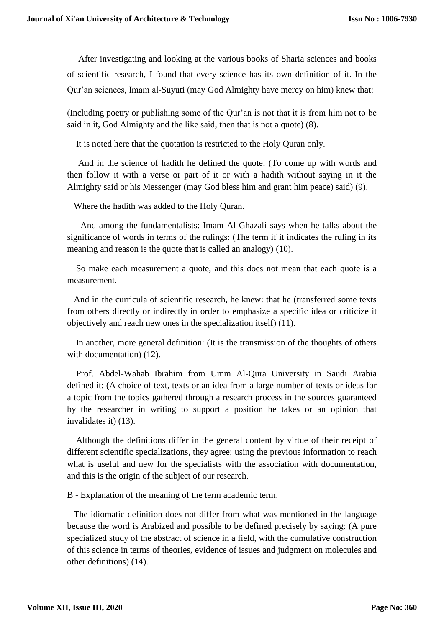After investigating and looking at the various books of Sharia sciences and books of scientific research, I found that every science has its own definition of it. In the Qur'an sciences, Imam al-Suyuti (may God Almighty have mercy on him) knew that:

(Including poetry or publishing some of the Qur'an is not that it is from him not to be said in it, God Almighty and the like said, then that is not a quote) (8).

It is noted here that the quotation is restricted to the Holy Quran only.

And in the science of hadith he defined the quote: (To come up with words and then follow it with a verse or part of it or with a hadith without saying in it the Almighty said or his Messenger (may God bless him and grant him peace) said) (9).

Where the hadith was added to the Holy Quran.

And among the fundamentalists: Imam Al-Ghazali says when he talks about the significance of words in terms of the rulings: (The term if it indicates the ruling in its meaning and reason is the quote that is called an analogy) (10).

So make each measurement a quote, and this does not mean that each quote is a measurement.

And in the curricula of scientific research, he knew: that he (transferred some texts from others directly or indirectly in order to emphasize a specific idea or criticize it objectively and reach new ones in the specialization itself) (11).

In another, more general definition: (It is the transmission of the thoughts of others with documentation) (12).

Prof. Abdel-Wahab Ibrahim from Umm Al-Qura University in Saudi Arabia defined it: (A choice of text, texts or an idea from a large number of texts or ideas for a topic from the topics gathered through a research process in the sources guaranteed by the researcher in writing to support a position he takes or an opinion that invalidates it) (13).

Although the definitions differ in the general content by virtue of their receipt of different scientific specializations, they agree: using the previous information to reach what is useful and new for the specialists with the association with documentation, and this is the origin of the subject of our research.

B - Explanation of the meaning of the term academic term.

The idiomatic definition does not differ from what was mentioned in the language because the word is Arabized and possible to be defined precisely by saying: (A pure specialized study of the abstract of science in a field, with the cumulative construction of this science in terms of theories, evidence of issues and judgment on molecules and other definitions) (14).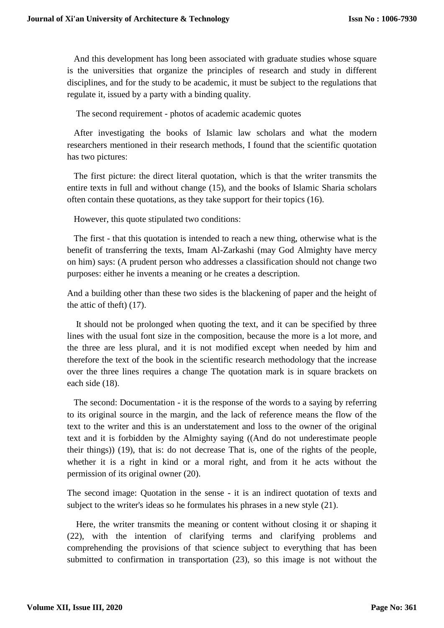And this development has long been associated with graduate studies whose square is the universities that organize the principles of research and study in different disciplines, and for the study to be academic, it must be subject to the regulations that regulate it, issued by a party with a binding quality.

The second requirement - photos of academic academic quotes

After investigating the books of Islamic law scholars and what the modern researchers mentioned in their research methods, I found that the scientific quotation has two pictures:

The first picture: the direct literal quotation, which is that the writer transmits the entire texts in full and without change (15), and the books of Islamic Sharia scholars often contain these quotations, as they take support for their topics (16).

However, this quote stipulated two conditions:

The first - that this quotation is intended to reach a new thing, otherwise what is the benefit of transferring the texts, Imam Al-Zarkashi (may God Almighty have mercy on him) says: (A prudent person who addresses a classification should not change two purposes: either he invents a meaning or he creates a description.

And a building other than these two sides is the blackening of paper and the height of the attic of theft) (17).

It should not be prolonged when quoting the text, and it can be specified by three lines with the usual font size in the composition, because the more is a lot more, and the three are less plural, and it is not modified except when needed by him and therefore the text of the book in the scientific research methodology that the increase over the three lines requires a change The quotation mark is in square brackets on each side (18).

The second: Documentation - it is the response of the words to a saying by referring to its original source in the margin, and the lack of reference means the flow of the text to the writer and this is an understatement and loss to the owner of the original text and it is forbidden by the Almighty saying ((And do not underestimate people their things)) (19), that is: do not decrease That is, one of the rights of the people, whether it is a right in kind or a moral right, and from it he acts without the permission of its original owner (20).

The second image: Quotation in the sense - it is an indirect quotation of texts and subject to the writer's ideas so he formulates his phrases in a new style (21).

Here, the writer transmits the meaning or content without closing it or shaping it (22), with the intention of clarifying terms and clarifying problems and comprehending the provisions of that science subject to everything that has been submitted to confirmation in transportation (23), so this image is not without the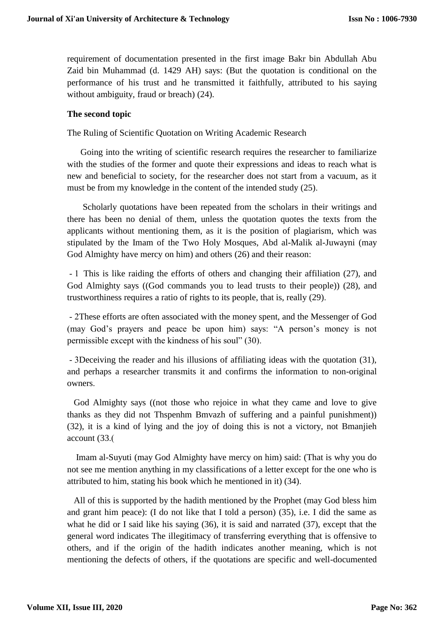requirement of documentation presented in the first image Bakr bin Abdullah Abu Zaid bin Muhammad (d. 1429 AH) says: (But the quotation is conditional on the performance of his trust and he transmitted it faithfully, attributed to his saying without ambiguity, fraud or breach)  $(24)$ .

# **The second topic**

The Ruling of Scientific Quotation on Writing Academic Research

Going into the writing of scientific research requires the researcher to familiarize with the studies of the former and quote their expressions and ideas to reach what is new and beneficial to society, for the researcher does not start from a vacuum, as it must be from my knowledge in the content of the intended study (25).

Scholarly quotations have been repeated from the scholars in their writings and there has been no denial of them, unless the quotation quotes the texts from the applicants without mentioning them, as it is the position of plagiarism, which was stipulated by the Imam of the Two Holy Mosques, Abd al-Malik al-Juwayni (may God Almighty have mercy on him) and others (26) and their reason:

- 1 This is like raiding the efforts of others and changing their affiliation (27), and God Almighty says ((God commands you to lead trusts to their people)) (28), and trustworthiness requires a ratio of rights to its people, that is, really (29).

- 2These efforts are often associated with the money spent, and the Messenger of God (may God's prayers and peace be upon him) says: "A person's money is not permissible except with the kindness of his soul" (30).

- 3Deceiving the reader and his illusions of affiliating ideas with the quotation (31), and perhaps a researcher transmits it and confirms the information to non-original owners.

God Almighty says ((not those who rejoice in what they came and love to give thanks as they did not Thspenhm Bmvazh of suffering and a painful punishment)) (32), it is a kind of lying and the joy of doing this is not a victory, not Bmanjieh account (33.)

Imam al-Suyuti (may God Almighty have mercy on him) said: (That is why you do not see me mention anything in my classifications of a letter except for the one who is attributed to him, stating his book which he mentioned in it) (34).

All of this is supported by the hadith mentioned by the Prophet (may God bless him and grant him peace): (I do not like that I told a person) (35), i.e. I did the same as what he did or I said like his saying (36), it is said and narrated (37), except that the general word indicates The illegitimacy of transferring everything that is offensive to others, and if the origin of the hadith indicates another meaning, which is not mentioning the defects of others, if the quotations are specific and well-documented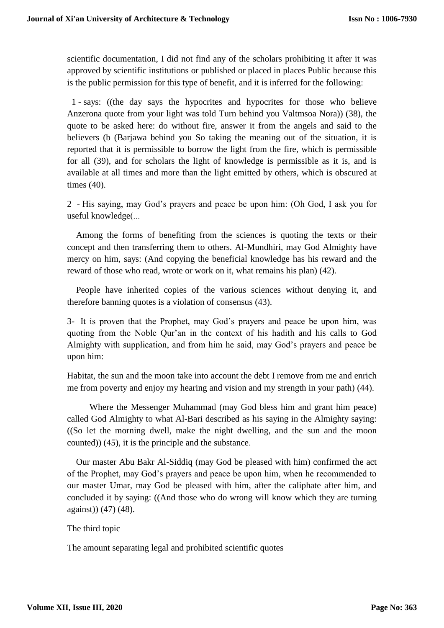scientific documentation, I did not find any of the scholars prohibiting it after it was approved by scientific institutions or published or placed in places Public because this is the public permission for this type of benefit, and it is inferred for the following:

1 - says: ((the day says the hypocrites and hypocrites for those who believe Anzerona quote from your light was told Turn behind you Valtmsoa Nora)) (38), the quote to be asked here: do without fire, answer it from the angels and said to the believers (b (Barjawa behind you So taking the meaning out of the situation, it is reported that it is permissible to borrow the light from the fire, which is permissible for all (39), and for scholars the light of knowledge is permissible as it is, and is available at all times and more than the light emitted by others, which is obscured at times (40).

2 - His saying, may God's prayers and peace be upon him: (Oh God, I ask you for useful knowledge(...

Among the forms of benefiting from the sciences is quoting the texts or their concept and then transferring them to others. Al-Mundhiri, may God Almighty have mercy on him, says: (And copying the beneficial knowledge has his reward and the reward of those who read, wrote or work on it, what remains his plan) (42).

People have inherited copies of the various sciences without denying it, and therefore banning quotes is a violation of consensus (43).

3- It is proven that the Prophet, may God's prayers and peace be upon him, was quoting from the Noble Qur'an in the context of his hadith and his calls to God Almighty with supplication, and from him he said, may God's prayers and peace be upon him:

Habitat, the sun and the moon take into account the debt I remove from me and enrich me from poverty and enjoy my hearing and vision and my strength in your path) (44).

Where the Messenger Muhammad (may God bless him and grant him peace) called God Almighty to what Al-Bari described as his saying in the Almighty saying: ((So let the morning dwell, make the night dwelling, and the sun and the moon counted)) (45), it is the principle and the substance.

Our master Abu Bakr Al-Siddiq (may God be pleased with him) confirmed the act of the Prophet, may God's prayers and peace be upon him, when he recommended to our master Umar, may God be pleased with him, after the caliphate after him, and concluded it by saying: ((And those who do wrong will know which they are turning against)) (47) (48).

# The third topic

The amount separating legal and prohibited scientific quotes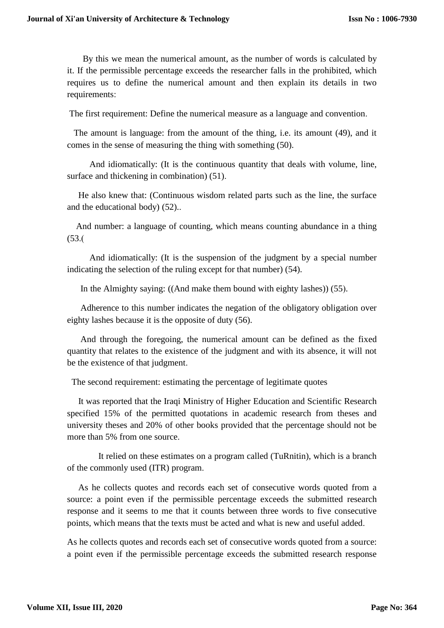By this we mean the numerical amount, as the number of words is calculated by it. If the permissible percentage exceeds the researcher falls in the prohibited, which requires us to define the numerical amount and then explain its details in two requirements:

The first requirement: Define the numerical measure as a language and convention.

The amount is language: from the amount of the thing, i.e. its amount (49), and it comes in the sense of measuring the thing with something (50).

And idiomatically: (It is the continuous quantity that deals with volume, line, surface and thickening in combination) (51).

He also knew that: (Continuous wisdom related parts such as the line, the surface and the educational body) (52)..

And number: a language of counting, which means counting abundance in a thing  $(53.0)$ 

And idiomatically: (It is the suspension of the judgment by a special number indicating the selection of the ruling except for that number) (54).

In the Almighty saying:  $((And make them bound with eighty lashes)) (55)$ .

Adherence to this number indicates the negation of the obligatory obligation over eighty lashes because it is the opposite of duty (56).

And through the foregoing, the numerical amount can be defined as the fixed quantity that relates to the existence of the judgment and with its absence, it will not be the existence of that judgment.

The second requirement: estimating the percentage of legitimate quotes

It was reported that the Iraqi Ministry of Higher Education and Scientific Research specified 15% of the permitted quotations in academic research from theses and university theses and 20% of other books provided that the percentage should not be more than 5% from one source.

It relied on these estimates on a program called (TuRnitin), which is a branch of the commonly used (ITR) program.

As he collects quotes and records each set of consecutive words quoted from a source: a point even if the permissible percentage exceeds the submitted research response and it seems to me that it counts between three words to five consecutive points, which means that the texts must be acted and what is new and useful added.

As he collects quotes and records each set of consecutive words quoted from a source: a point even if the permissible percentage exceeds the submitted research response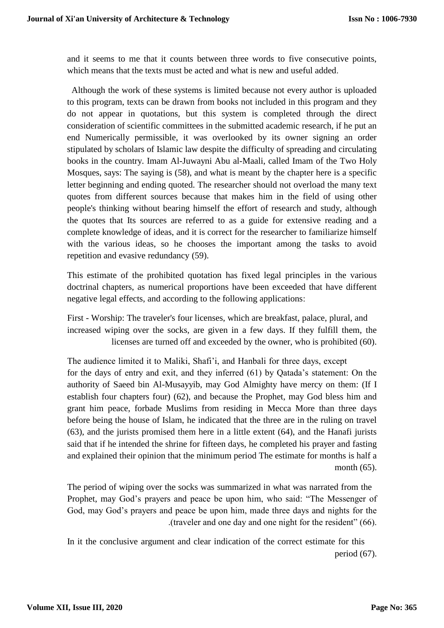and it seems to me that it counts between three words to five consecutive points, which means that the texts must be acted and what is new and useful added.

 Although the work of these systems is limited because not every author is uploaded to this program, texts can be drawn from books not included in this program and they do not appear in quotations, but this system is completed through the direct consideration of scientific committees in the submitted academic research, if he put an end Numerically permissible, it was overlooked by its owner signing an order stipulated by scholars of Islamic law despite the difficulty of spreading and circulating books in the country. Imam Al-Juwayni Abu al-Maali, called Imam of the Two Holy Mosques, says: The saying is (58), and what is meant by the chapter here is a specific letter beginning and ending quoted. The researcher should not overload the many text quotes from different sources because that makes him in the field of using other people's thinking without bearing himself the effort of research and study, although the quotes that Its sources are referred to as a guide for extensive reading and a complete knowledge of ideas, and it is correct for the researcher to familiarize himself with the various ideas, so he chooses the important among the tasks to avoid repetition and evasive redundancy (59).

This estimate of the prohibited quotation has fixed legal principles in the various doctrinal chapters, as numerical proportions have been exceeded that have different negative legal effects, and according to the following applications:

First - Worship: The traveler's four licenses, which are breakfast, palace, plural, and increased wiping over the socks, are given in a few days. If they fulfill them, the licenses are turned off and exceeded by the owner, who is prohibited (60).

The audience limited it to Maliki, Shafi'i, and Hanbali for three days, except for the days of entry and exit, and they inferred (61) by Qatada's statement: On the authority of Saeed bin Al-Musayyib, may God Almighty have mercy on them: (If I establish four chapters four) (62), and because the Prophet, may God bless him and grant him peace, forbade Muslims from residing in Mecca More than three days before being the house of Islam, he indicated that the three are in the ruling on travel (63), and the jurists promised them here in a little extent (64), and the Hanafi jurists said that if he intended the shrine for fifteen days, he completed his prayer and fasting and explained their opinion that the minimum period The estimate for months is half a month (65).

The period of wiping over the socks was summarized in what was narrated from the Prophet, may God's prayers and peace be upon him, who said: "The Messenger of God, may God's prayers and peace be upon him, made three days and nights for the .)traveler and one day and one night for the resident" (66).

In it the conclusive argument and clear indication of the correct estimate for this period (67).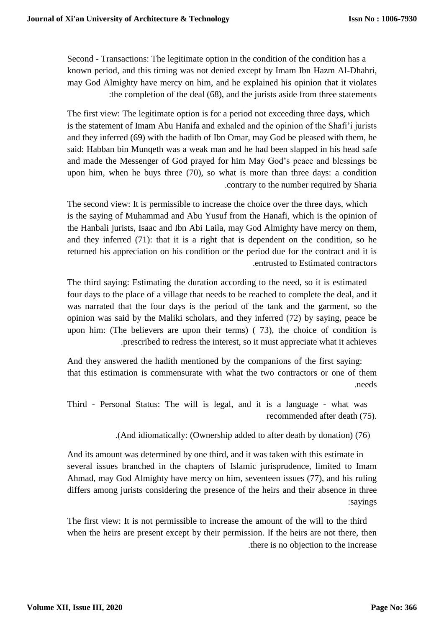Second - Transactions: The legitimate option in the condition of the condition has a known period, and this timing was not denied except by Imam Ibn Hazm Al-Dhahri, may God Almighty have mercy on him, and he explained his opinion that it violates :the completion of the deal (68), and the jurists aside from three statements

The first view: The legitimate option is for a period not exceeding three days, which is the statement of Imam Abu Hanifa and exhaled and the opinion of the Shafi'i jurists and they inferred (69) with the hadith of Ibn Omar, may God be pleased with them, he said: Habban bin Munqeth was a weak man and he had been slapped in his head safe and made the Messenger of God prayed for him May God's peace and blessings be upon him, when he buys three (70), so what is more than three days: a condition .contrary to the number required by Sharia

The second view: It is permissible to increase the choice over the three days, which is the saying of Muhammad and Abu Yusuf from the Hanafi, which is the opinion of the Hanbali jurists, Isaac and Ibn Abi Laila, may God Almighty have mercy on them, and they inferred (71): that it is a right that is dependent on the condition, so he returned his appreciation on his condition or the period due for the contract and it is .entrusted to Estimated contractors

The third saying: Estimating the duration according to the need, so it is estimated four days to the place of a village that needs to be reached to complete the deal, and it was narrated that the four days is the period of the tank and the garment, so the opinion was said by the Maliki scholars, and they inferred (72) by saying, peace be upon him: (The believers are upon their terms) ( 73), the choice of condition is .prescribed to redress the interest, so it must appreciate what it achieves

And they answered the hadith mentioned by the companions of the first saying: that this estimation is commensurate with what the two contractors or one of them .needs

Third - Personal Status: The will is legal, and it is a language - what was recommended after death (75).

.(And idiomatically: (Ownership added to after death by donation) (76)

And its amount was determined by one third, and it was taken with this estimate in several issues branched in the chapters of Islamic jurisprudence, limited to Imam Ahmad, may God Almighty have mercy on him, seventeen issues (77), and his ruling differs among jurists considering the presence of the heirs and their absence in three :sayings

The first view: It is not permissible to increase the amount of the will to the third when the heirs are present except by their permission. If the heirs are not there, then .there is no objection to the increase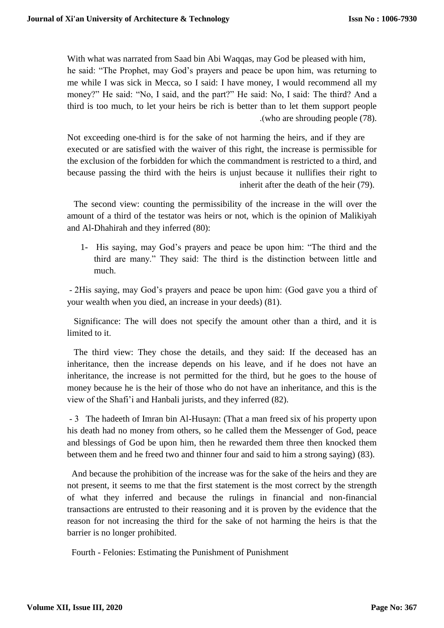With what was narrated from Saad bin Abi Waqqas, may God be pleased with him, he said: "The Prophet, may God's prayers and peace be upon him, was returning to me while I was sick in Mecca, so I said: I have money, I would recommend all my money?" He said: "No, I said, and the part?" He said: No, I said: The third? And a third is too much, to let your heirs be rich is better than to let them support people .(who are shrouding people  $(78)$ .

Not exceeding one-third is for the sake of not harming the heirs, and if they are executed or are satisfied with the waiver of this right, the increase is permissible for the exclusion of the forbidden for which the commandment is restricted to a third, and because passing the third with the heirs is unjust because it nullifies their right to inherit after the death of the heir (79).

The second view: counting the permissibility of the increase in the will over the amount of a third of the testator was heirs or not, which is the opinion of Malikiyah and Al-Dhahirah and they inferred (80):

1- His saying, may God's prayers and peace be upon him: "The third and the third are many." They said: The third is the distinction between little and much.

- 2His saying, may God's prayers and peace be upon him: (God gave you a third of your wealth when you died, an increase in your deeds) (81).

Significance: The will does not specify the amount other than a third, and it is limited to it.

The third view: They chose the details, and they said: If the deceased has an inheritance, then the increase depends on his leave, and if he does not have an inheritance, the increase is not permitted for the third, but he goes to the house of money because he is the heir of those who do not have an inheritance, and this is the view of the Shafi'i and Hanbali jurists, and they inferred (82).

- 3 The hadeeth of Imran bin Al-Husayn: (That a man freed six of his property upon his death had no money from others, so he called them the Messenger of God, peace and blessings of God be upon him, then he rewarded them three then knocked them between them and he freed two and thinner four and said to him a strong saying) (83).

And because the prohibition of the increase was for the sake of the heirs and they are not present, it seems to me that the first statement is the most correct by the strength of what they inferred and because the rulings in financial and non-financial transactions are entrusted to their reasoning and it is proven by the evidence that the reason for not increasing the third for the sake of not harming the heirs is that the barrier is no longer prohibited.

Fourth - Felonies: Estimating the Punishment of Punishment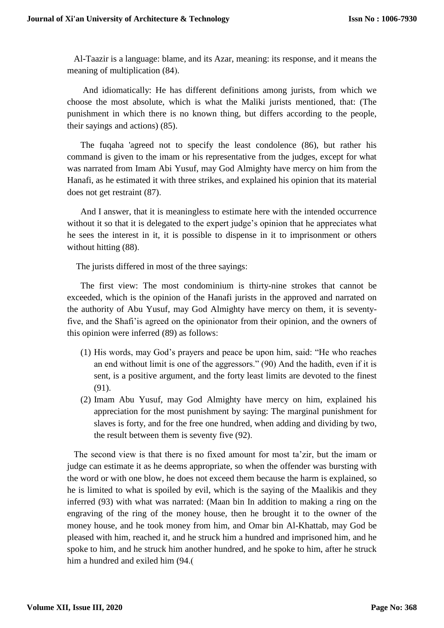Al-Taazir is a language: blame, and its Azar, meaning: its response, and it means the meaning of multiplication (84).

And idiomatically: He has different definitions among jurists, from which we choose the most absolute, which is what the Maliki jurists mentioned, that: (The punishment in which there is no known thing, but differs according to the people, their sayings and actions) (85).

The fuqaha 'agreed not to specify the least condolence (86), but rather his command is given to the imam or his representative from the judges, except for what was narrated from Imam Abi Yusuf, may God Almighty have mercy on him from the Hanafi, as he estimated it with three strikes, and explained his opinion that its material does not get restraint (87).

And I answer, that it is meaningless to estimate here with the intended occurrence without it so that it is delegated to the expert judge's opinion that he appreciates what he sees the interest in it, it is possible to dispense in it to imprisonment or others without hitting  $(88)$ .

The jurists differed in most of the three sayings:

The first view: The most condominium is thirty-nine strokes that cannot be exceeded, which is the opinion of the Hanafi jurists in the approved and narrated on the authority of Abu Yusuf, may God Almighty have mercy on them, it is seventyfive, and the Shafi'is agreed on the opinionator from their opinion, and the owners of this opinion were inferred (89) as follows:

- (1) His words, may God's prayers and peace be upon him, said: "He who reaches an end without limit is one of the aggressors." (90) And the hadith, even if it is sent, is a positive argument, and the forty least limits are devoted to the finest (91).
- (2) Imam Abu Yusuf, may God Almighty have mercy on him, explained his appreciation for the most punishment by saying: The marginal punishment for slaves is forty, and for the free one hundred, when adding and dividing by two, the result between them is seventy five (92).

The second view is that there is no fixed amount for most ta'zir, but the imam or judge can estimate it as he deems appropriate, so when the offender was bursting with the word or with one blow, he does not exceed them because the harm is explained, so he is limited to what is spoiled by evil, which is the saying of the Maalikis and they inferred (93) with what was narrated: (Maan bin In addition to making a ring on the engraving of the ring of the money house, then he brought it to the owner of the money house, and he took money from him, and Omar bin Al-Khattab, may God be pleased with him, reached it, and he struck him a hundred and imprisoned him, and he spoke to him, and he struck him another hundred, and he spoke to him, after he struck him a hundred and exiled him  $(94)$ .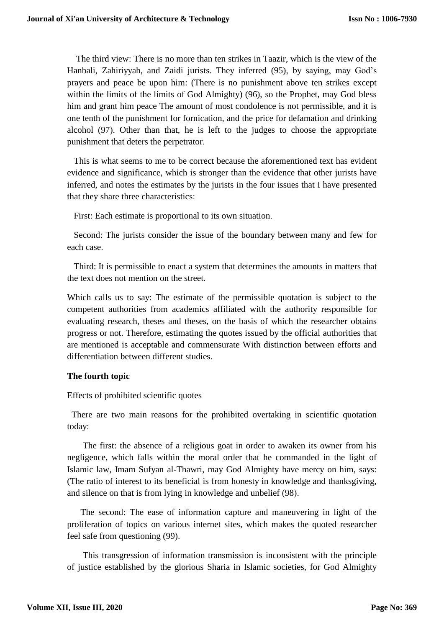The third view: There is no more than ten strikes in Taazir, which is the view of the Hanbali, Zahiriyyah, and Zaidi jurists. They inferred (95), by saying, may God's prayers and peace be upon him: (There is no punishment above ten strikes except within the limits of the limits of God Almighty) (96), so the Prophet, may God bless him and grant him peace The amount of most condolence is not permissible, and it is one tenth of the punishment for fornication, and the price for defamation and drinking alcohol (97). Other than that, he is left to the judges to choose the appropriate punishment that deters the perpetrator.

This is what seems to me to be correct because the aforementioned text has evident evidence and significance, which is stronger than the evidence that other jurists have inferred, and notes the estimates by the jurists in the four issues that I have presented that they share three characteristics:

First: Each estimate is proportional to its own situation.

Second: The jurists consider the issue of the boundary between many and few for each case.

Third: It is permissible to enact a system that determines the amounts in matters that the text does not mention on the street.

Which calls us to say: The estimate of the permissible quotation is subject to the competent authorities from academics affiliated with the authority responsible for evaluating research, theses and theses, on the basis of which the researcher obtains progress or not. Therefore, estimating the quotes issued by the official authorities that are mentioned is acceptable and commensurate With distinction between efforts and differentiation between different studies.

### **The fourth topic**

Effects of prohibited scientific quotes

There are two main reasons for the prohibited overtaking in scientific quotation today:

The first: the absence of a religious goat in order to awaken its owner from his negligence, which falls within the moral order that he commanded in the light of Islamic law, Imam Sufyan al-Thawri, may God Almighty have mercy on him, says: (The ratio of interest to its beneficial is from honesty in knowledge and thanksgiving, and silence on that is from lying in knowledge and unbelief (98).

The second: The ease of information capture and maneuvering in light of the proliferation of topics on various internet sites, which makes the quoted researcher feel safe from questioning (99).

This transgression of information transmission is inconsistent with the principle of justice established by the glorious Sharia in Islamic societies, for God Almighty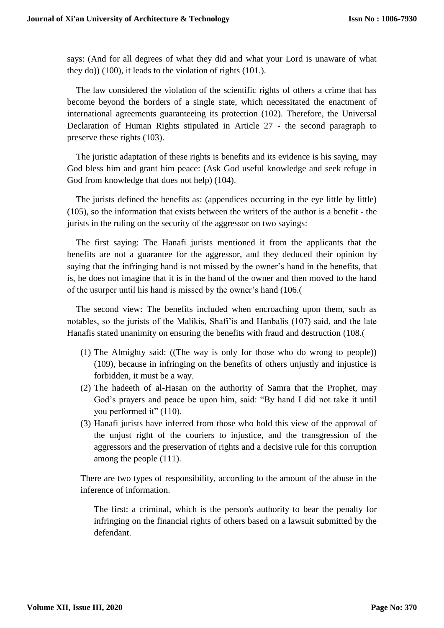says: (And for all degrees of what they did and what your Lord is unaware of what they do))  $(100)$ , it leads to the violation of rights  $(101)$ .

The law considered the violation of the scientific rights of others a crime that has become beyond the borders of a single state, which necessitated the enactment of international agreements guaranteeing its protection (102). Therefore, the Universal Declaration of Human Rights stipulated in Article 27 - the second paragraph to preserve these rights (103).

The juristic adaptation of these rights is benefits and its evidence is his saying, may God bless him and grant him peace: (Ask God useful knowledge and seek refuge in God from knowledge that does not help) (104).

The jurists defined the benefits as: (appendices occurring in the eye little by little) (105), so the information that exists between the writers of the author is a benefit - the jurists in the ruling on the security of the aggressor on two sayings:

The first saying: The Hanafi jurists mentioned it from the applicants that the benefits are not a guarantee for the aggressor, and they deduced their opinion by saying that the infringing hand is not missed by the owner's hand in the benefits, that is, he does not imagine that it is in the hand of the owner and then moved to the hand of the usurper until his hand is missed by the owner's hand (106.)

The second view: The benefits included when encroaching upon them, such as notables, so the jurists of the Malikis, Shafi'is and Hanbalis (107) said, and the late Hanafis stated unanimity on ensuring the benefits with fraud and destruction (108.)

- (1) The Almighty said: ((The way is only for those who do wrong to people)) (109), because in infringing on the benefits of others unjustly and injustice is forbidden, it must be a way.
- (2) The hadeeth of al-Hasan on the authority of Samra that the Prophet, may God's prayers and peace be upon him, said: "By hand I did not take it until you performed it" (110).
- (3) Hanafi jurists have inferred from those who hold this view of the approval of the unjust right of the couriers to injustice, and the transgression of the aggressors and the preservation of rights and a decisive rule for this corruption among the people (111).

There are two types of responsibility, according to the amount of the abuse in the inference of information.

The first: a criminal, which is the person's authority to bear the penalty for infringing on the financial rights of others based on a lawsuit submitted by the defendant.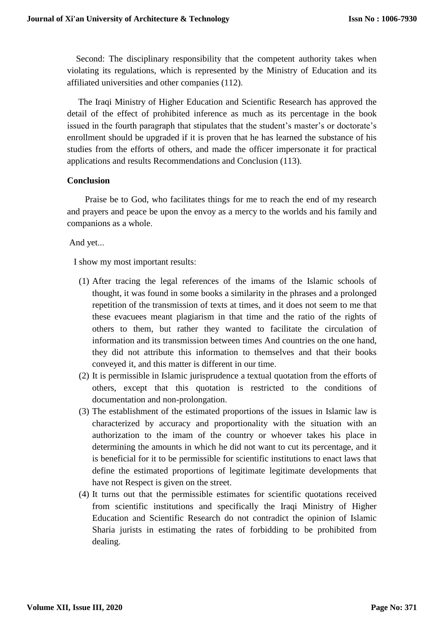Second: The disciplinary responsibility that the competent authority takes when violating its regulations, which is represented by the Ministry of Education and its affiliated universities and other companies (112).

The Iraqi Ministry of Higher Education and Scientific Research has approved the detail of the effect of prohibited inference as much as its percentage in the book issued in the fourth paragraph that stipulates that the student's master's or doctorate's enrollment should be upgraded if it is proven that he has learned the substance of his studies from the efforts of others, and made the officer impersonate it for practical applications and results Recommendations and Conclusion (113).

### **Conclusion**

Praise be to God, who facilitates things for me to reach the end of my research and prayers and peace be upon the envoy as a mercy to the worlds and his family and companions as a whole.

And yet...

I show my most important results:

- (1) After tracing the legal references of the imams of the Islamic schools of thought, it was found in some books a similarity in the phrases and a prolonged repetition of the transmission of texts at times, and it does not seem to me that these evacuees meant plagiarism in that time and the ratio of the rights of others to them, but rather they wanted to facilitate the circulation of information and its transmission between times And countries on the one hand, they did not attribute this information to themselves and that their books conveyed it, and this matter is different in our time.
- (2) It is permissible in Islamic jurisprudence a textual quotation from the efforts of others, except that this quotation is restricted to the conditions of documentation and non-prolongation.
- (3) The establishment of the estimated proportions of the issues in Islamic law is characterized by accuracy and proportionality with the situation with an authorization to the imam of the country or whoever takes his place in determining the amounts in which he did not want to cut its percentage, and it is beneficial for it to be permissible for scientific institutions to enact laws that define the estimated proportions of legitimate legitimate developments that have not Respect is given on the street.
- (4) It turns out that the permissible estimates for scientific quotations received from scientific institutions and specifically the Iraqi Ministry of Higher Education and Scientific Research do not contradict the opinion of Islamic Sharia jurists in estimating the rates of forbidding to be prohibited from dealing.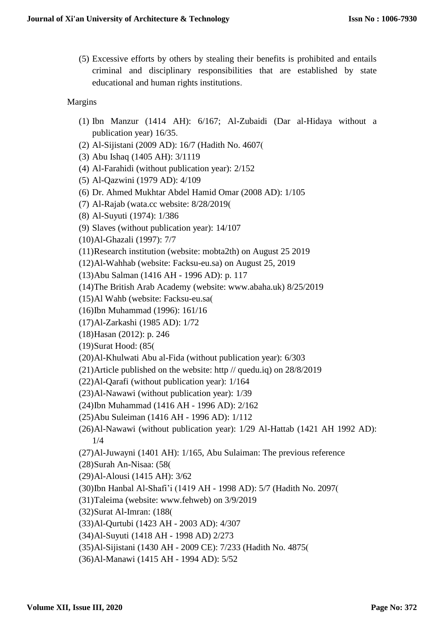(5) Excessive efforts by others by stealing their benefits is prohibited and entails criminal and disciplinary responsibilities that are established by state educational and human rights institutions.

# Margins

- (1) Ibn Manzur (1414 AH): 6/167; Al-Zubaidi (Dar al-Hidaya without a publication year) 16/35.
- (2) Al-Sijistani (2009 AD): 16/7 (Hadith No. 4607)
- (3) Abu Ishaq (1405 AH): 3/1119
- (4) Al-Farahidi (without publication year): 2/152
- (5) Al-Qazwini (1979 AD): 4/109
- (6) Dr. Ahmed Mukhtar Abdel Hamid Omar (2008 AD): 1/105
- (7) Al-Rajab (wata.cc website: 8/28/2019)
- (8) Al-Suyuti (1974): 1/386
- (9) Slaves (without publication year): 14/107
- (10)Al-Ghazali (1997): 7/7
- (11)Research institution (website: mobta2th) on August 25 2019
- (12)Al-Wahhab (website: Facksu-eu.sa) on August 25, 2019
- (13)Abu Salman (1416 AH 1996 AD): p. 117
- (14)The British Arab Academy (website: www.abaha.uk) 8/25/2019
- (15)Al Wahb (website: Facksu-eu.sa)
- (16)Ibn Muhammad (1996): 161/16
- (17)Al-Zarkashi (1985 AD): 1/72
- (18)Hasan (2012): p. 246
- (19)Surat Hood: (85)
- (20)Al-Khulwati Abu al-Fida (without publication year): 6/303
- (21)Article published on the website: http // quedu.iq) on 28/8/2019
- (22)Al-Qarafi (without publication year): 1/164
- (23)Al-Nawawi (without publication year): 1/39
- (24)Ibn Muhammad (1416 AH 1996 AD): 2/162
- (25)Abu Suleiman (1416 AH 1996 AD): 1/112
- (26)Al-Nawawi (without publication year): 1/29 Al-Hattab (1421 AH 1992 AD): 1/4
- (27)Al-Juwayni (1401 AH): 1/165, Abu Sulaiman: The previous reference
- (28)Surah An-Nisaa: (58)
- (29)Al-Alousi (1415 AH): 3/62
- (30)Ibn Hanbal Al-Shafi'i (1419 AH 1998 AD): 5/7 (Hadith No. 2097)
- (31)Taleima (website: www.fehweb) on 3/9/2019
- (32)Surat Al-Imran: (188)
- (33)Al-Qurtubi (1423 AH 2003 AD): 4/307
- (34)Al-Suyuti (1418 AH 1998 AD) 2/273
- (35)Al-Sijistani (1430 AH 2009 CE): 7/233 (Hadith No. 4875)
- (36)Al-Manawi (1415 AH 1994 AD): 5/52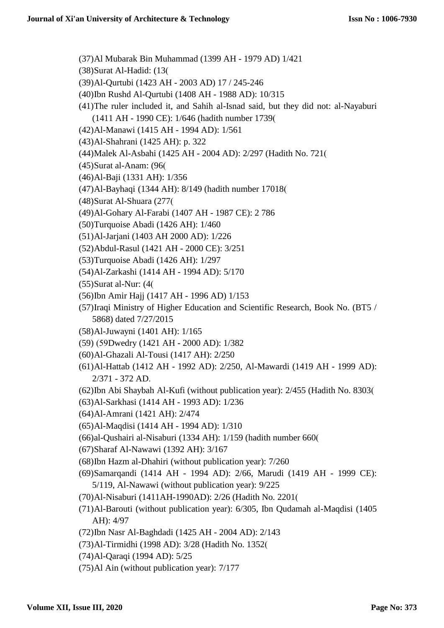(37)Al Mubarak Bin Muhammad (1399 AH - 1979 AD) 1/421 (38)Surat Al-Hadid: (13) (39)Al-Qurtubi (1423 AH - 2003 AD) 17 / 245-246 (40)Ibn Rushd Al-Qurtubi (1408 AH - 1988 AD): 10/315 (41)The ruler included it, and Sahih al-Isnad said, but they did not: al-Nayaburi (1411 AH - 1990 CE): 1/646 (hadith number 1739) (42)Al-Manawi (1415 AH - 1994 AD): 1/561 (43)Al-Shahrani (1425 AH): p. 322 (44)Malek Al-Asbahi (1425 AH - 2004 AD): 2/297 (Hadith No. 721) (45)Surat al-Anam: (96) (46)Al-Baji (1331 AH): 1/356 (47)Al-Bayhaqi (1344 AH): 8/149 (hadith number 17018) (48)Surat Al-Shuara (277) (49)Al-Gohary Al-Farabi (1407 AH - 1987 CE): 2 786 (50)Turquoise Abadi (1426 AH): 1/460 (51)Al-Jarjani (1403 AH 2000 AD): 1/226 (52)Abdul-Rasul (1421 AH - 2000 CE): 3/251 (53)Turquoise Abadi (1426 AH): 1/297 (54)Al-Zarkashi (1414 AH - 1994 AD): 5/170 (55)Surat al-Nur: (4) (56)Ibn Amir Hajj (1417 AH - 1996 AD) 1/153 (57)Iraqi Ministry of Higher Education and Scientific Research, Book No. (BT5 / 5868) dated 7/27/2015 (58)Al-Juwayni (1401 AH): 1/165 (59) )59Dwedry (1421 AH - 2000 AD): 1/382 (60)Al-Ghazali Al-Tousi (1417 AH): 2/250 (61)Al-Hattab (1412 AH - 1992 AD): 2/250, Al-Mawardi (1419 AH - 1999 AD): 2/371 - 372 AD. (62)Ibn Abi Shaybah Al-Kufi (without publication year): 2/455 (Hadith No. 8303) (63)Al-Sarkhasi (1414 AH - 1993 AD): 1/236 (64)Al-Amrani (1421 AH): 2/474 (65)Al-Maqdisi (1414 AH - 1994 AD): 1/310 (66)al-Qushairi al-Nisaburi (1334 AH): 1/159 (hadith number 660) (67)Sharaf Al-Nawawi (1392 AH): 3/167 (68)Ibn Hazm al-Dhahiri (without publication year): 7/260 (69)Samarqandi (1414 AH - 1994 AD): 2/66, Marudi (1419 AH - 1999 CE): 5/119, Al-Nawawi (without publication year): 9/225 (70)Al-Nisaburi (1411AH-1990AD): 2/26 (Hadith No. 2201) (71)Al-Barouti (without publication year): 6/305, Ibn Qudamah al-Maqdisi (1405 AH): 4/97 (72)Ibn Nasr Al-Baghdadi (1425 AH - 2004 AD): 2/143 (73)Al-Tirmidhi (1998 AD): 3/28 (Hadith No. 1352) (74)Al-Qaraqi (1994 AD): 5/25

(75)Al Ain (without publication year): 7/177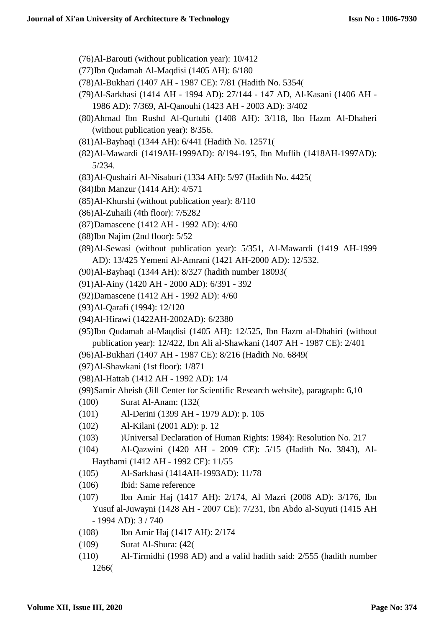- (76)Al-Barouti (without publication year): 10/412
- (77)Ibn Qudamah Al-Maqdisi (1405 AH): 6/180
- (78)Al-Bukhari (1407 AH 1987 CE): 7/81 (Hadith No. 5354)
- (79)Al-Sarkhasi (1414 AH 1994 AD): 27/144 147 AD, Al-Kasani (1406 AH 1986 AD): 7/369, Al-Qanouhi (1423 AH - 2003 AD): 3/402
- (80)Ahmad Ibn Rushd Al-Qurtubi (1408 AH): 3/118, Ibn Hazm Al-Dhaheri (without publication year): 8/356.
- (81)Al-Bayhaqi (1344 AH): 6/441 (Hadith No. 12571)
- (82)Al-Mawardi (1419AH-1999AD): 8/194-195, Ibn Muflih (1418AH-1997AD): 5/234.
- (83)Al-Qushairi Al-Nisaburi (1334 AH): 5/97 (Hadith No. 4425)
- (84)Ibn Manzur (1414 AH): 4/571
- (85)Al-Khurshi (without publication year): 8/110
- (86)Al-Zuhaili (4th floor): 7/5282
- (87)Damascene (1412 AH 1992 AD): 4/60
- (88)Ibn Najim (2nd floor): 5/52
- (89)Al-Sewasi (without publication year): 5/351, Al-Mawardi (1419 AH-1999 AD): 13/425 Yemeni Al-Amrani (1421 AH-2000 AD): 12/532.
- (90)Al-Bayhaqi (1344 AH): 8/327 (hadith number 18093)
- (91)Al-Ainy (1420 AH 2000 AD): 6/391 392
- (92)Damascene (1412 AH 1992 AD): 4/60
- (93)Al-Qarafi (1994): 12/120
- (94)Al-Hirawi (1422AH-2002AD): 6/2380
- (95)Ibn Qudamah al-Maqdisi (1405 AH): 12/525, Ibn Hazm al-Dhahiri (without publication year): 12/422, Ibn Ali al-Shawkani (1407 AH - 1987 CE): 2/401
- (96)Al-Bukhari (1407 AH 1987 CE): 8/216 (Hadith No. 6849)
- (97)Al-Shawkani (1st floor): 1/871
- (98)Al-Hattab (1412 AH 1992 AD): 1/4
- (99)Samir Abeish (Jill Center for Scientific Research website), paragraph: 6,10
- (100) Surat Al-Anam: (132)
- (101) Al-Derini (1399 AH 1979 AD): p. 105
- (102) Al-Kilani (2001 AD): p. 12
- (103) (Universal Declaration of Human Rights: 1984): Resolution No. 217
- (104) Al-Qazwini (1420 AH 2009 CE): 5/15 (Hadith No. 3843), Al-Haythami (1412 AH - 1992 CE): 11/55
- (105) Al-Sarkhasi (1414AH-1993AD): 11/78
- (106) Ibid: Same reference
- (107) Ibn Amir Haj (1417 AH): 2/174, Al Mazri (2008 AD): 3/176, Ibn Yusuf al-Juwayni (1428 AH - 2007 CE): 7/231, Ibn Abdo al-Suyuti (1415 AH - 1994 AD): 3 / 740
- (108) Ibn Amir Haj (1417 AH): 2/174
- (109) Surat Al-Shura: (42)
- (110) Al-Tirmidhi (1998 AD) and a valid hadith said: 2/555 (hadith number 1266)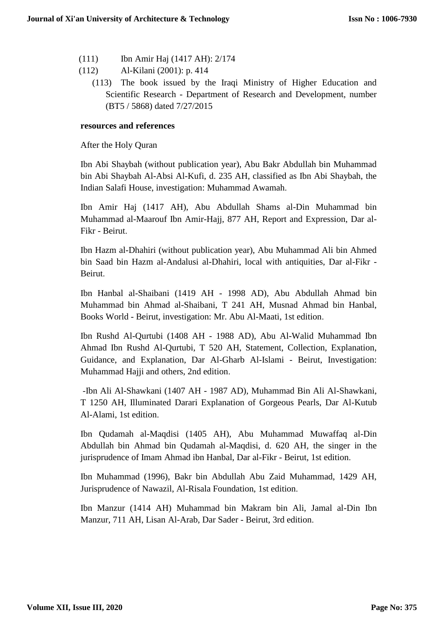- (111) Ibn Amir Haj (1417 AH): 2/174
- (112) Al-Kilani (2001): p. 414
	- (113) The book issued by the Iraqi Ministry of Higher Education and Scientific Research - Department of Research and Development, number (BT5 / 5868) dated 7/27/2015

### **resources and references**

After the Holy Quran

Ibn Abi Shaybah (without publication year), Abu Bakr Abdullah bin Muhammad bin Abi Shaybah Al-Absi Al-Kufi, d. 235 AH, classified as Ibn Abi Shaybah, the Indian Salafi House, investigation: Muhammad Awamah.

Ibn Amir Haj (1417 AH), Abu Abdullah Shams al-Din Muhammad bin Muhammad al-Maarouf Ibn Amir-Hajj, 877 AH, Report and Expression, Dar al-Fikr - Beirut.

Ibn Hazm al-Dhahiri (without publication year), Abu Muhammad Ali bin Ahmed bin Saad bin Hazm al-Andalusi al-Dhahiri, local with antiquities, Dar al-Fikr - Beirut.

Ibn Hanbal al-Shaibani (1419 AH - 1998 AD), Abu Abdullah Ahmad bin Muhammad bin Ahmad al-Shaibani, T 241 AH, Musnad Ahmad bin Hanbal, Books World - Beirut, investigation: Mr. Abu Al-Maati, 1st edition.

Ibn Rushd Al-Qurtubi (1408 AH - 1988 AD), Abu Al-Walid Muhammad Ibn Ahmad Ibn Rushd Al-Qurtubi, T 520 AH, Statement, Collection, Explanation, Guidance, and Explanation, Dar Al-Gharb Al-Islami - Beirut, Investigation: Muhammad Hajji and others, 2nd edition.

-Ibn Ali Al-Shawkani (1407 AH - 1987 AD), Muhammad Bin Ali Al-Shawkani, T 1250 AH, Illuminated Darari Explanation of Gorgeous Pearls, Dar Al-Kutub Al-Alami, 1st edition.

Ibn Qudamah al-Maqdisi (1405 AH), Abu Muhammad Muwaffaq al-Din Abdullah bin Ahmad bin Qudamah al-Maqdisi, d. 620 AH, the singer in the jurisprudence of Imam Ahmad ibn Hanbal, Dar al-Fikr - Beirut, 1st edition.

Ibn Muhammad (1996), Bakr bin Abdullah Abu Zaid Muhammad, 1429 AH, Jurisprudence of Nawazil, Al-Risala Foundation, 1st edition.

Ibn Manzur (1414 AH) Muhammad bin Makram bin Ali, Jamal al-Din Ibn Manzur, 711 AH, Lisan Al-Arab, Dar Sader - Beirut, 3rd edition.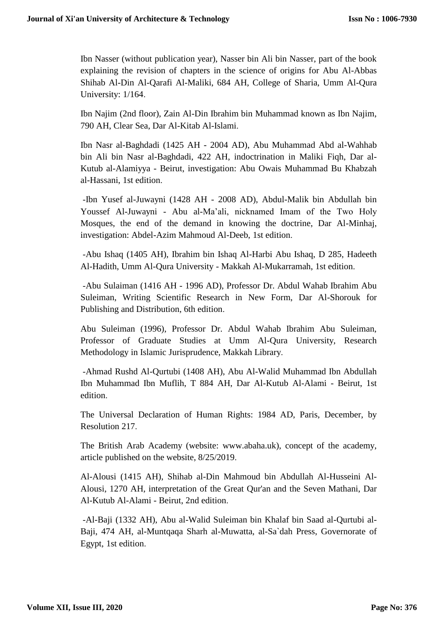Ibn Nasser (without publication year), Nasser bin Ali bin Nasser, part of the book explaining the revision of chapters in the science of origins for Abu Al-Abbas Shihab Al-Din Al-Qarafi Al-Maliki, 684 AH, College of Sharia, Umm Al-Qura University: 1/164.

Ibn Najim (2nd floor), Zain Al-Din Ibrahim bin Muhammad known as Ibn Najim, 790 AH, Clear Sea, Dar Al-Kitab Al-Islami.

Ibn Nasr al-Baghdadi (1425 AH - 2004 AD), Abu Muhammad Abd al-Wahhab bin Ali bin Nasr al-Baghdadi, 422 AH, indoctrination in Maliki Fiqh, Dar al-Kutub al-Alamiyya - Beirut, investigation: Abu Owais Muhammad Bu Khabzah al-Hassani, 1st edition.

-Ibn Yusef al-Juwayni (1428 AH - 2008 AD), Abdul-Malik bin Abdullah bin Youssef Al-Juwayni - Abu al-Ma'ali, nicknamed Imam of the Two Holy Mosques, the end of the demand in knowing the doctrine, Dar Al-Minhaj, investigation: Abdel-Azim Mahmoud Al-Deeb, 1st edition.

-Abu Ishaq (1405 AH), Ibrahim bin Ishaq Al-Harbi Abu Ishaq, D 285, Hadeeth Al-Hadith, Umm Al-Qura University - Makkah Al-Mukarramah, 1st edition.

-Abu Sulaiman (1416 AH - 1996 AD), Professor Dr. Abdul Wahab Ibrahim Abu Suleiman, Writing Scientific Research in New Form, Dar Al-Shorouk for Publishing and Distribution, 6th edition.

Abu Suleiman (1996), Professor Dr. Abdul Wahab Ibrahim Abu Suleiman, Professor of Graduate Studies at Umm Al-Qura University, Research Methodology in Islamic Jurisprudence, Makkah Library.

-Ahmad Rushd Al-Qurtubi (1408 AH), Abu Al-Walid Muhammad Ibn Abdullah Ibn Muhammad Ibn Muflih, T 884 AH, Dar Al-Kutub Al-Alami - Beirut, 1st edition.

The Universal Declaration of Human Rights: 1984 AD, Paris, December, by Resolution 217.

The British Arab Academy (website: www.abaha.uk), concept of the academy, article published on the website, 8/25/2019.

Al-Alousi (1415 AH), Shihab al-Din Mahmoud bin Abdullah Al-Husseini Al-Alousi, 1270 AH, interpretation of the Great Qur'an and the Seven Mathani, Dar Al-Kutub Al-Alami - Beirut, 2nd edition.

-Al-Baji (1332 AH), Abu al-Walid Suleiman bin Khalaf bin Saad al-Qurtubi al-Baji, 474 AH, al-Muntqaqa Sharh al-Muwatta, al-Sa`dah Press, Governorate of Egypt, 1st edition.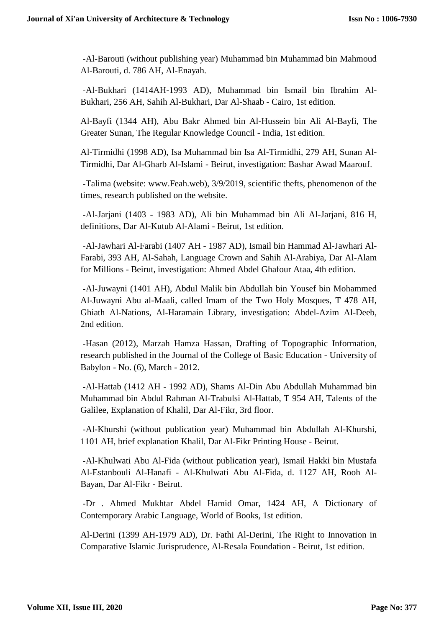-Al-Barouti (without publishing year) Muhammad bin Muhammad bin Mahmoud Al-Barouti, d. 786 AH, Al-Enayah.

-Al-Bukhari (1414AH-1993 AD), Muhammad bin Ismail bin Ibrahim Al-Bukhari, 256 AH, Sahih Al-Bukhari, Dar Al-Shaab - Cairo, 1st edition.

Al-Bayfi (1344 AH), Abu Bakr Ahmed bin Al-Hussein bin Ali Al-Bayfi, The Greater Sunan, The Regular Knowledge Council - India, 1st edition.

Al-Tirmidhi (1998 AD), Isa Muhammad bin Isa Al-Tirmidhi, 279 AH, Sunan Al-Tirmidhi, Dar Al-Gharb Al-Islami - Beirut, investigation: Bashar Awad Maarouf.

-Talima (website: www.Feah.web), 3/9/2019, scientific thefts, phenomenon of the times, research published on the website.

-Al-Jarjani (1403 - 1983 AD), Ali bin Muhammad bin Ali Al-Jarjani, 816 H, definitions, Dar Al-Kutub Al-Alami - Beirut, 1st edition.

-Al-Jawhari Al-Farabi (1407 AH - 1987 AD), Ismail bin Hammad Al-Jawhari Al-Farabi, 393 AH, Al-Sahah, Language Crown and Sahih Al-Arabiya, Dar Al-Alam for Millions - Beirut, investigation: Ahmed Abdel Ghafour Ataa, 4th edition.

-Al-Juwayni (1401 AH), Abdul Malik bin Abdullah bin Yousef bin Mohammed Al-Juwayni Abu al-Maali, called Imam of the Two Holy Mosques, T 478 AH, Ghiath Al-Nations, Al-Haramain Library, investigation: Abdel-Azim Al-Deeb, 2nd edition.

-Hasan (2012), Marzah Hamza Hassan, Drafting of Topographic Information, research published in the Journal of the College of Basic Education - University of Babylon - No. (6), March - 2012.

-Al-Hattab (1412 AH - 1992 AD), Shams Al-Din Abu Abdullah Muhammad bin Muhammad bin Abdul Rahman Al-Trabulsi Al-Hattab, T 954 AH, Talents of the Galilee, Explanation of Khalil, Dar Al-Fikr, 3rd floor.

-Al-Khurshi (without publication year) Muhammad bin Abdullah Al-Khurshi, 1101 AH, brief explanation Khalil, Dar Al-Fikr Printing House - Beirut.

-Al-Khulwati Abu Al-Fida (without publication year), Ismail Hakki bin Mustafa Al-Estanbouli Al-Hanafi - Al-Khulwati Abu Al-Fida, d. 1127 AH, Rooh Al-Bayan, Dar Al-Fikr - Beirut.

-Dr . Ahmed Mukhtar Abdel Hamid Omar, 1424 AH, A Dictionary of Contemporary Arabic Language, World of Books, 1st edition.

Al-Derini (1399 AH-1979 AD), Dr. Fathi Al-Derini, The Right to Innovation in Comparative Islamic Jurisprudence, Al-Resala Foundation - Beirut, 1st edition.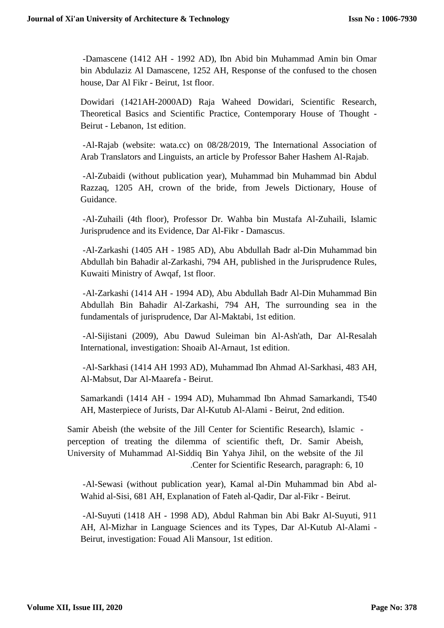-Damascene (1412 AH - 1992 AD), Ibn Abid bin Muhammad Amin bin Omar bin Abdulaziz Al Damascene, 1252 AH, Response of the confused to the chosen house, Dar Al Fikr - Beirut, 1st floor.

Dowidari (1421AH-2000AD) Raja Waheed Dowidari, Scientific Research, Theoretical Basics and Scientific Practice, Contemporary House of Thought - Beirut - Lebanon, 1st edition.

-Al-Rajab (website: wata.cc) on 08/28/2019, The International Association of Arab Translators and Linguists, an article by Professor Baher Hashem Al-Rajab.

-Al-Zubaidi (without publication year), Muhammad bin Muhammad bin Abdul Razzaq, 1205 AH, crown of the bride, from Jewels Dictionary, House of Guidance.

-Al-Zuhaili (4th floor), Professor Dr. Wahba bin Mustafa Al-Zuhaili, Islamic Jurisprudence and its Evidence, Dar Al-Fikr - Damascus.

-Al-Zarkashi (1405 AH - 1985 AD), Abu Abdullah Badr al-Din Muhammad bin Abdullah bin Bahadir al-Zarkashi, 794 AH, published in the Jurisprudence Rules, Kuwaiti Ministry of Awqaf, 1st floor.

-Al-Zarkashi (1414 AH - 1994 AD), Abu Abdullah Badr Al-Din Muhammad Bin Abdullah Bin Bahadir Al-Zarkashi, 794 AH, The surrounding sea in the fundamentals of jurisprudence, Dar Al-Maktabi, 1st edition.

-Al-Sijistani (2009), Abu Dawud Suleiman bin Al-Ash'ath, Dar Al-Resalah International, investigation: Shoaib Al-Arnaut, 1st edition.

-Al-Sarkhasi (1414 AH 1993 AD), Muhammad Ibn Ahmad Al-Sarkhasi, 483 AH, Al-Mabsut, Dar Al-Maarefa - Beirut.

Samarkandi (1414 AH - 1994 AD), Muhammad Ibn Ahmad Samarkandi, T540 AH, Masterpiece of Jurists, Dar Al-Kutub Al-Alami - Beirut, 2nd edition.

Samir Abeish (the website of the Jill Center for Scientific Research), Islamic perception of treating the dilemma of scientific theft, Dr. Samir Abeish, University of Muhammad Al-Siddiq Bin Yahya Jihil, on the website of the Jil .Center for Scientific Research, paragraph: 6, 10

-Al-Sewasi (without publication year), Kamal al-Din Muhammad bin Abd al-Wahid al-Sisi, 681 AH, Explanation of Fateh al-Qadir, Dar al-Fikr - Beirut.

-Al-Suyuti (1418 AH - 1998 AD), Abdul Rahman bin Abi Bakr Al-Suyuti, 911 AH, Al-Mizhar in Language Sciences and its Types, Dar Al-Kutub Al-Alami - Beirut, investigation: Fouad Ali Mansour, 1st edition.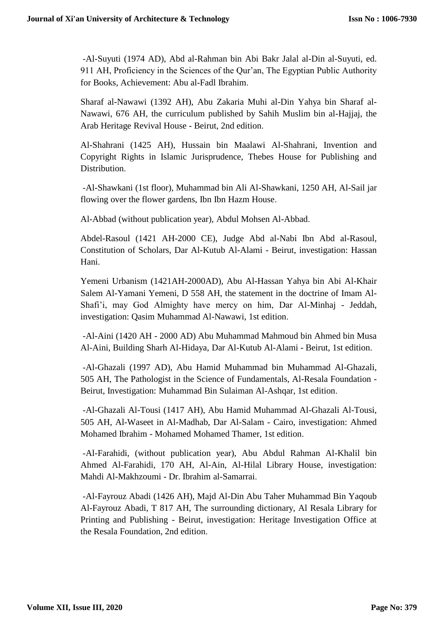-Al-Suyuti (1974 AD), Abd al-Rahman bin Abi Bakr Jalal al-Din al-Suyuti, ed. 911 AH, Proficiency in the Sciences of the Qur'an, The Egyptian Public Authority for Books, Achievement: Abu al-Fadl Ibrahim.

Sharaf al-Nawawi (1392 AH), Abu Zakaria Muhi al-Din Yahya bin Sharaf al-Nawawi, 676 AH, the curriculum published by Sahih Muslim bin al-Hajjaj, the Arab Heritage Revival House - Beirut, 2nd edition.

Al-Shahrani (1425 AH), Hussain bin Maalawi Al-Shahrani, Invention and Copyright Rights in Islamic Jurisprudence, Thebes House for Publishing and Distribution.

-Al-Shawkani (1st floor), Muhammad bin Ali Al-Shawkani, 1250 AH, Al-Sail jar flowing over the flower gardens, Ibn Ibn Hazm House.

Al-Abbad (without publication year), Abdul Mohsen Al-Abbad.

Abdel-Rasoul (1421 AH-2000 CE), Judge Abd al-Nabi Ibn Abd al-Rasoul, Constitution of Scholars, Dar Al-Kutub Al-Alami - Beirut, investigation: Hassan Hani.

Yemeni Urbanism (1421AH-2000AD), Abu Al-Hassan Yahya bin Abi Al-Khair Salem Al-Yamani Yemeni, D 558 AH, the statement in the doctrine of Imam Al-Shafi'i, may God Almighty have mercy on him, Dar Al-Minhaj - Jeddah, investigation: Qasim Muhammad Al-Nawawi, 1st edition.

-Al-Aini (1420 AH - 2000 AD) Abu Muhammad Mahmoud bin Ahmed bin Musa Al-Aini, Building Sharh Al-Hidaya, Dar Al-Kutub Al-Alami - Beirut, 1st edition.

-Al-Ghazali (1997 AD), Abu Hamid Muhammad bin Muhammad Al-Ghazali, 505 AH, The Pathologist in the Science of Fundamentals, Al-Resala Foundation - Beirut, Investigation: Muhammad Bin Sulaiman Al-Ashqar, 1st edition.

-Al-Ghazali Al-Tousi (1417 AH), Abu Hamid Muhammad Al-Ghazali Al-Tousi, 505 AH, Al-Waseet in Al-Madhab, Dar Al-Salam - Cairo, investigation: Ahmed Mohamed Ibrahim - Mohamed Mohamed Thamer, 1st edition.

-Al-Farahidi, (without publication year), Abu Abdul Rahman Al-Khalil bin Ahmed Al-Farahidi, 170 AH, Al-Ain, Al-Hilal Library House, investigation: Mahdi Al-Makhzoumi - Dr. Ibrahim al-Samarrai.

-Al-Fayrouz Abadi (1426 AH), Majd Al-Din Abu Taher Muhammad Bin Yaqoub Al-Fayrouz Abadi, T 817 AH, The surrounding dictionary, Al Resala Library for Printing and Publishing - Beirut, investigation: Heritage Investigation Office at the Resala Foundation, 2nd edition.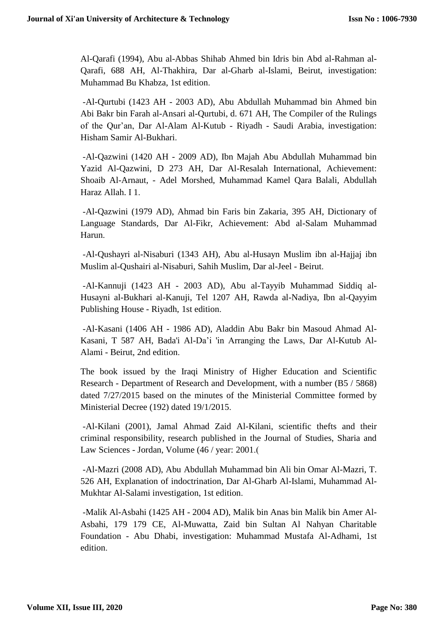Al-Qarafi (1994), Abu al-Abbas Shihab Ahmed bin Idris bin Abd al-Rahman al-Qarafi, 688 AH, Al-Thakhira, Dar al-Gharb al-Islami, Beirut, investigation: Muhammad Bu Khabza, 1st edition.

-Al-Qurtubi (1423 AH - 2003 AD), Abu Abdullah Muhammad bin Ahmed bin Abi Bakr bin Farah al-Ansari al-Qurtubi, d. 671 AH, The Compiler of the Rulings of the Qur'an, Dar Al-Alam Al-Kutub - Riyadh - Saudi Arabia, investigation: Hisham Samir Al-Bukhari.

-Al-Qazwini (1420 AH - 2009 AD), Ibn Majah Abu Abdullah Muhammad bin Yazid Al-Qazwini, D 273 AH, Dar Al-Resalah International, Achievement: Shoaib Al-Arnaut, - Adel Morshed, Muhammad Kamel Qara Balali, Abdullah Haraz Allah. I 1.

-Al-Qazwini (1979 AD), Ahmad bin Faris bin Zakaria, 395 AH, Dictionary of Language Standards, Dar Al-Fikr, Achievement: Abd al-Salam Muhammad Harun.

-Al-Qushayri al-Nisaburi (1343 AH), Abu al-Husayn Muslim ibn al-Hajjaj ibn Muslim al-Qushairi al-Nisaburi, Sahih Muslim, Dar al-Jeel - Beirut.

-Al-Kannuji (1423 AH - 2003 AD), Abu al-Tayyib Muhammad Siddiq al-Husayni al-Bukhari al-Kanuji, Tel 1207 AH, Rawda al-Nadiya, Ibn al-Qayyim Publishing House - Riyadh, 1st edition.

-Al-Kasani (1406 AH - 1986 AD), Aladdin Abu Bakr bin Masoud Ahmad Al-Kasani, T 587 AH, Bada'i Al-Da'i 'in Arranging the Laws, Dar Al-Kutub Al-Alami - Beirut, 2nd edition.

The book issued by the Iraqi Ministry of Higher Education and Scientific Research - Department of Research and Development, with a number (B5 / 5868) dated 7/27/2015 based on the minutes of the Ministerial Committee formed by Ministerial Decree (192) dated 19/1/2015.

-Al-Kilani (2001), Jamal Ahmad Zaid Al-Kilani, scientific thefts and their criminal responsibility, research published in the Journal of Studies, Sharia and Law Sciences - Jordan, Volume (46 / year: 2001.)

-Al-Mazri (2008 AD), Abu Abdullah Muhammad bin Ali bin Omar Al-Mazri, T. 526 AH, Explanation of indoctrination, Dar Al-Gharb Al-Islami, Muhammad Al-Mukhtar Al-Salami investigation, 1st edition.

-Malik Al-Asbahi (1425 AH - 2004 AD), Malik bin Anas bin Malik bin Amer Al-Asbahi, 179 179 CE, Al-Muwatta, Zaid bin Sultan Al Nahyan Charitable Foundation - Abu Dhabi, investigation: Muhammad Mustafa Al-Adhami, 1st edition.